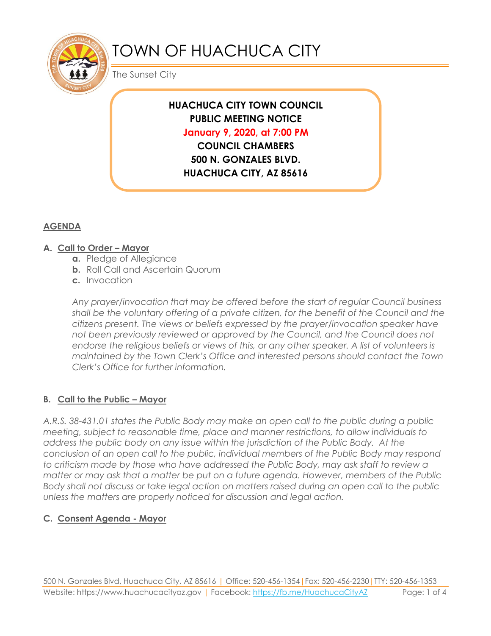

# TOWN OF HUACHUCA CITY

The Sunset City

## **HUACHUCA CITY TOWN COUNCIL PUBLIC MEETING NOTICE January 9, 2020, at 7:00 PM COUNCIL CHAMBERS**

**500 N. GONZALES BLVD. HUACHUCA CITY, AZ 85616**

## **AGENDA**

#### **A. Call to Order – Mayor**

- **a.** Pledge of Allegiance
- **b.** Roll Call and Ascertain Quorum
- **c.** Invocation

*Any prayer/invocation that may be offered before the start of regular Council business shall be the voluntary offering of a private citizen, for the benefit of the Council and the citizens present. The views or beliefs expressed by the prayer/invocation speaker have not been previously reviewed or approved by the Council, and the Council does not endorse the religious beliefs or views of this, or any other speaker. A list of volunteers is maintained by the Town Clerk's Office and interested persons should contact the Town Clerk's Office for further information.*

## **B. Call to the Public – Mayor**

*A.R.S. 38-431.01 states the Public Body may make an open call to the public during a public meeting, subject to reasonable time, place and manner restrictions, to allow individuals to address the public body on any issue within the jurisdiction of the Public Body. At the conclusion of an open call to the public, individual members of the Public Body may respond to criticism made by those who have addressed the Public Body, may ask staff to review a matter or may ask that a matter be put on a future agenda. However, members of the Public Body shall not discuss or take legal action on matters raised during an open call to the public unless the matters are properly noticed for discussion and legal action.*

## **C. Consent Agenda - Mayor**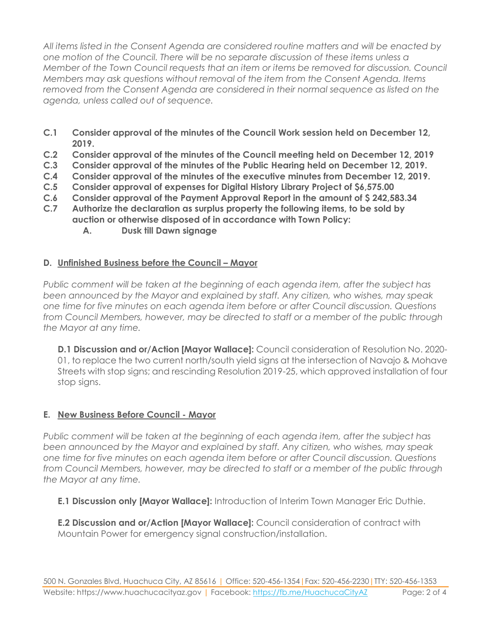*All items listed in the Consent Agenda are considered routine matters and will be enacted by one motion of the Council. There will be no separate discussion of these items unless a Member of the Town Council requests that an item or items be removed for discussion. Council Members may ask questions without removal of the item from the Consent Agenda. Items removed from the Consent Agenda are considered in their normal sequence as listed on the agenda, unless called out of sequence.*

- **C.1 Consider approval of the minutes of the Council Work session held on December 12, 2019.**
- **C.2 Consider approval of the minutes of the Council meeting held on December 12, 2019**
- **C.3 Consider approval of the minutes of the Public Hearing held on December 12, 2019.**
- **C.4 Consider approval of the minutes of the executive minutes from December 12, 2019.**
- **C.5 Consider approval of expenses for Digital History Library Project of \$6,575.00**
- **C.6 Consider approval of the Payment Approval Report in the amount of \$ 242,583.34**
- **C.7 Authorize the declaration as surplus property the following items, to be sold by auction or otherwise disposed of in accordance with Town Policy:**
	- **A. Dusk till Dawn signage**

## **D. Unfinished Business before the Council – Mayor**

*Public comment will be taken at the beginning of each agenda item, after the subject has been announced by the Mayor and explained by staff. Any citizen, who wishes, may speak one time for five minutes on each agenda item before or after Council discussion. Questions from Council Members, however, may be directed to staff or a member of the public through the Mayor at any time.*

**D.1 Discussion and or/Action [Mayor Wallace]:** Council consideration of Resolution No. 2020- 01, to replace the two current north/south yield signs at the intersection of Navajo & Mohave Streets with stop signs; and rescinding Resolution 2019-25, which approved installation of four stop signs.

## **E. New Business Before Council - Mayor**

*Public comment will be taken at the beginning of each agenda item, after the subject has been announced by the Mayor and explained by staff. Any citizen, who wishes, may speak one time for five minutes on each agenda item before or after Council discussion. Questions from Council Members, however, may be directed to staff or a member of the public through the Mayor at any time.* 

**E.1 Discussion only [Mayor Wallace]:** Introduction of Interim Town Manager Eric Duthie.

**E.2 Discussion and or/Action [Mayor Wallace]:** Council consideration of contract with Mountain Power for emergency signal construction/installation.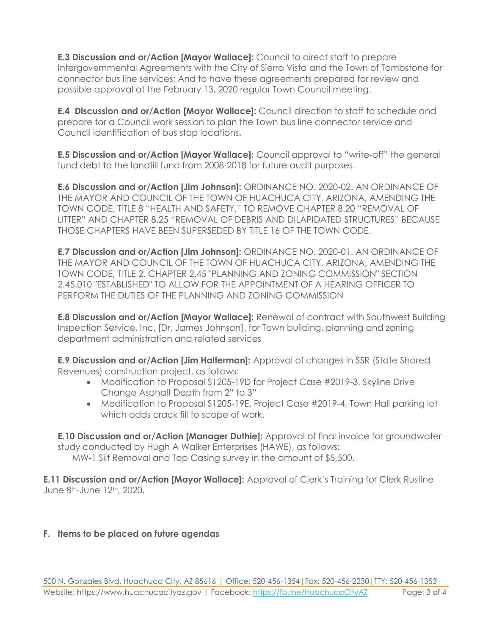**E.3 Discussion and or/Action [Mayor Wallace]:** Council to direct staff to prepare Intergovernmental Agreements with the City of Sierra Vista and the Town of Tombstone for connector bus line services; And to have these agreements prepared for review and possible approval at the February 13, 2020 regular Town Council meeting.

**E.4 Discussion and or/Action [Mayor Wallace]:** Council direction to staff to schedule and prepare for a Council work session to plan the Town bus line connector service and Council identification of bus stop locations**.**

**E.5 Discussion and or/Action [Mayor Wallace]:** Council approval to "write-off" the general fund debt to the landfill fund from 2008-2018 for future audit purposes.

**E.6 Discussion and or/Action [Jim Johnson]:** ORDINANCE NO. 2020-02. AN ORDINANCE OF THE MAYOR AND COUNCIL OF THE TOWN OF HUACHUCA CITY, ARIZONA, AMENDING THE TOWN CODE, TITLE 8 "HEALTH AND SAFETY," TO REMOVE CHAPTER 8.20 "REMOVAL OF LITTER" AND CHAPTER 8.25 "REMOVAL OF DEBRIS AND DILAPIDATED STRUCTURES" BECAUSE THOSE CHAPTERS HAVE BEEN SUPERSEDED BY TITLE 16 OF THE TOWN CODE.

**E.7 Discussion and or/Action [Jim Johnson]:** ORDINANCE NO. 2020-01. AN ORDINANCE OF THE MAYOR AND COUNCIL OF THE TOWN OF HUACHUCA CITY, ARIZONA, AMENDING THE TOWN CODE, TITLE 2, CHAPTER 2.45 "PLANNING AND ZONING COMMISSION" SECTION 2.45.010 "ESTABLISHED" TO ALLOW FOR THE APPOINTMENT OF A HEARING OFFICER TO PERFORM THE DUTIES OF THE PLANNING AND ZONING COMMISSION

**E.8 Discussion and or/Action [Mayor Wallace]:** Renewal of contract with Southwest Building Inspection Service, Inc. [Dr. James Johnson], for Town building, planning and zoning department administration and related services

**E.9 Discussion and or/Action [Jim Halterman]:** Approval of changes in SSR (State Shared Revenues) construction project, as follows:

- Modification to Proposal S1205-19D for Project Case #2019-3, Skyline Drive Change Asphalt Depth from 2" to 3"
- Modification to Proposal S1205-19E, Project Case #2019-4, Town Hall parking lot which adds crack fill to scope of work.

**E.10 Discussion and or/Action [Manager Duthie]:** Approval of final invoice for groundwater study conducted by Hugh A Walker Enterprises (HAWE), as follows:

MW-1 Silt Removal and Top Casing survey in the amount of \$5,500.

**E.11 Discussion and or/Action [Mayor Wallace]:** Approval of Clerk's Training for Clerk Rustine June 8th-June 12th, 2020.

## **F. Items to be placed on future agendas**